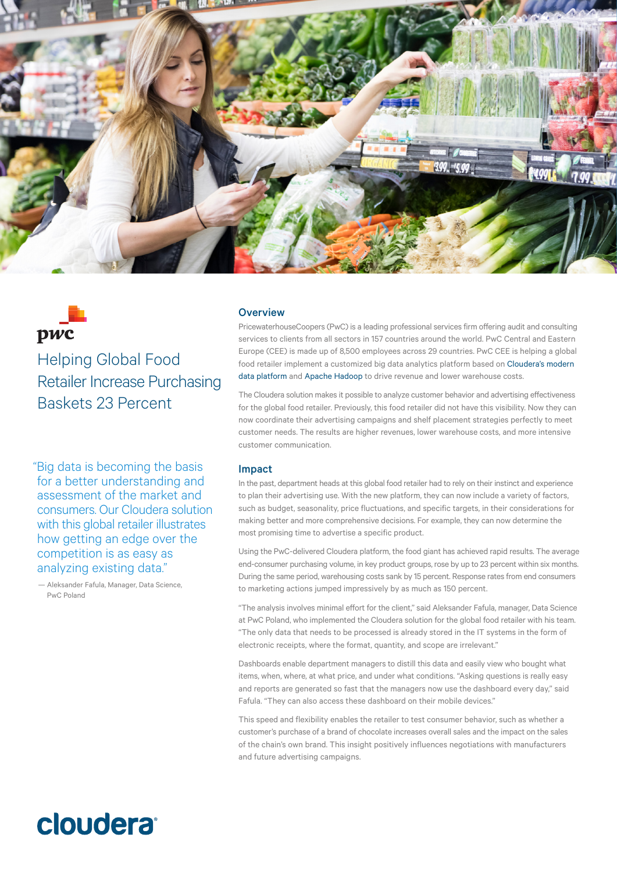

# pwc

Helping Global Food Retailer Increase Purchasing Baskets 23 Percent

"Big data is becoming the basis for a better understanding and assessment of the market and consumers. Our Cloudera solution with this global retailer illustrates how getting an edge over the competition is as easy as analyzing existing data."

— Aleksander Fafula, Manager, Data Science, PwC Poland

# **Overview**

PricewaterhouseCoopers (PwC) is a leading professional services firm offering audit and consulting services to clients from all sectors in 157 countries around the world. PwC Central and Eastern Europe (CEE) is made up of 8,500 employees across 29 countries. PwC CEE is helping a global food retailer implement a customized big data analytics platform based on [Cloudera's modern](http://www.cloudera.com/)  [data platform](http://www.cloudera.com/) and [Apache Hadoop](http://www.cloudera.com/products/apache-hadoop.html) to drive revenue and lower warehouse costs.

The Cloudera solution makes it possible to analyze customer behavior and advertising effectiveness for the global food retailer. Previously, this food retailer did not have this visibility. Now they can now coordinate their advertising campaigns and shelf placement strategies perfectly to meet customer needs. The results are higher revenues, lower warehouse costs, and more intensive customer communication.

# Impact

In the past, department heads at this global food retailer had to rely on their instinct and experience to plan their advertising use. With the new platform, they can now include a variety of factors, such as budget, seasonality, price fluctuations, and specific targets, in their considerations for making better and more comprehensive decisions. For example, they can now determine the most promising time to advertise a specific product.

Using the PwC-delivered Cloudera platform, the food giant has achieved rapid results. The average end-consumer purchasing volume, in key product groups, rose by up to 23 percent within six months. During the same period, warehousing costs sank by 15 percent. Response rates from end consumers to marketing actions jumped impressively by as much as 150 percent.

"The analysis involves minimal effort for the client," said Aleksander Fafula, manager, Data Science at PwC Poland, who implemented the Cloudera solution for the global food retailer with his team. "The only data that needs to be processed is already stored in the IT systems in the form of electronic receipts, where the format, quantity, and scope are irrelevant."

Dashboards enable department managers to distill this data and easily view who bought what items, when, where, at what price, and under what conditions. "Asking questions is really easy and reports are generated so fast that the managers now use the dashboard every day," said Fafula. "They can also access these dashboard on their mobile devices."

This speed and flexibility enables the retailer to test consumer behavior, such as whether a customer's purchase of a brand of chocolate increases overall sales and the impact on the sales of the chain's own brand. This insight positively influences negotiations with manufacturers and future advertising campaigns.

# **cloudera**